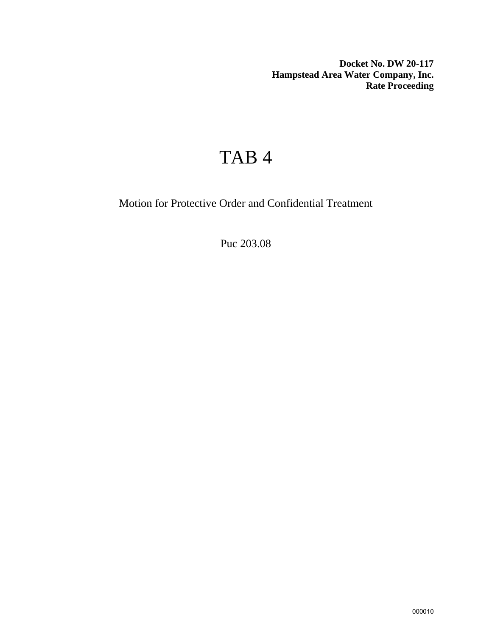**Docket No. DW 20-117 Hampstead Area Water Company, Inc. Rate Proceeding**

## TAB 4

Motion for Protective Order and Confidential Treatment

Puc 203.08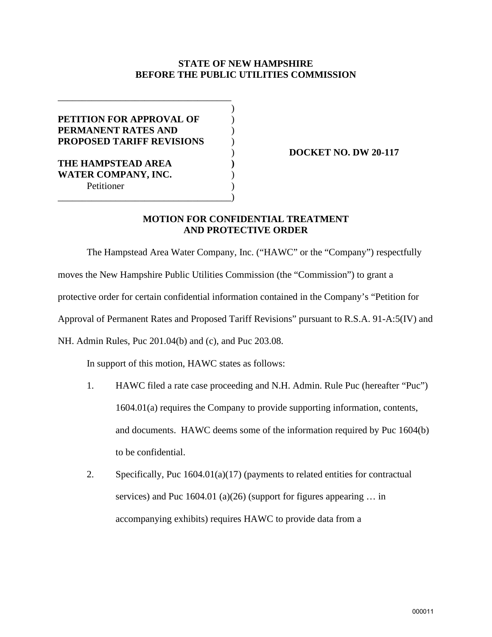## **STATE OF NEW HAMPSHIRE BEFORE THE PUBLIC UTILITIES COMMISSION**

| <b>PETITION FOR APPROVAL OF</b>  |  |
|----------------------------------|--|
| PERMANENT RATES AND              |  |
| <b>PROPOSED TARIFF REVISIONS</b> |  |
|                                  |  |
| THE HAMPSTEAD AREA               |  |
| <b>WATER COMPANY, INC.</b>       |  |
| Petitioner                       |  |
|                                  |  |

) **DOCKET NO. DW 20-117**

## **MOTION FOR CONFIDENTIAL TREATMENT AND PROTECTIVE ORDER**

The Hampstead Area Water Company, Inc. ("HAWC" or the "Company") respectfully moves the New Hampshire Public Utilities Commission (the "Commission") to grant a protective order for certain confidential information contained in the Company's "Petition for Approval of Permanent Rates and Proposed Tariff Revisions" pursuant to R.S.A. 91-A:5(IV) and NH. Admin Rules, Puc 201.04(b) and (c), and Puc 203.08.

In support of this motion, HAWC states as follows:

- 1. HAWC filed a rate case proceeding and N.H. Admin. Rule Puc (hereafter "Puc") 1604.01(a) requires the Company to provide supporting information, contents, and documents. HAWC deems some of the information required by Puc 1604(b) to be confidential.
- 2. Specifically, Puc 1604.01(a)(17) (payments to related entities for contractual services) and Puc 1604.01 (a)(26) (support for figures appearing … in accompanying exhibits) requires HAWC to provide data from a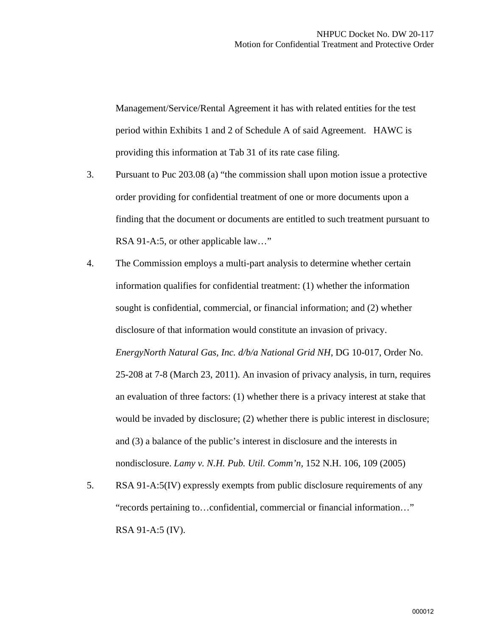Management/Service/Rental Agreement it has with related entities for the test period within Exhibits 1 and 2 of Schedule A of said Agreement. HAWC is providing this information at Tab 31 of its rate case filing.

- 3. Pursuant to Puc 203.08 (a) "the commission shall upon motion issue a protective order providing for confidential treatment of one or more documents upon a finding that the document or documents are entitled to such treatment pursuant to RSA 91-A:5, or other applicable law..."
- 4. The Commission employs a multi-part analysis to determine whether certain information qualifies for confidential treatment: (1) whether the information sought is confidential, commercial, or financial information; and (2) whether disclosure of that information would constitute an invasion of privacy. *EnergyNorth Natural Gas, Inc. d/b/a National Grid NH*, DG 10-017, Order No. 25-208 at 7-8 (March 23, 2011). An invasion of privacy analysis, in turn, requires an evaluation of three factors: (1) whether there is a privacy interest at stake that would be invaded by disclosure; (2) whether there is public interest in disclosure; and (3) a balance of the public's interest in disclosure and the interests in nondisclosure. *Lamy v. N.H. Pub. Util. Comm'n,* 152 N.H. 106, 109 (2005)
- 5. RSA 91-A:5(IV) expressly exempts from public disclosure requirements of any "records pertaining to…confidential, commercial or financial information…" RSA 91-A:5 (IV).